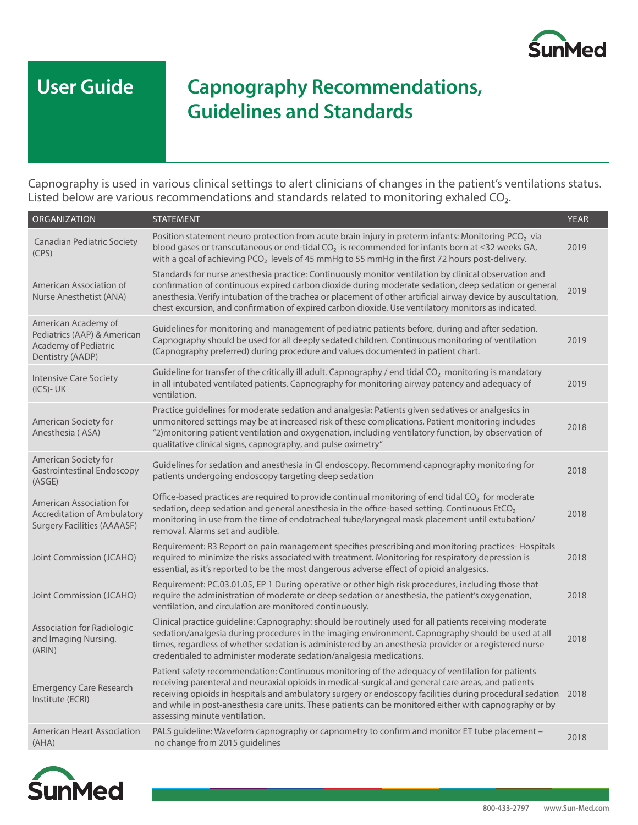

# **User Guide Capnography Recommendations, Guidelines and Standards**

Capnography is used in various clinical settings to alert clinicians of changes in the patient's ventilations status. Listed below are various recommendations and standards related to monitoring exhaled CO2.

| <b>ORGANIZATION</b>                                                                                  | <b>STATEMENT</b>                                                                                                                                                                                                                                                                                                                                                                                                                                                    | <b>YEAR</b> |
|------------------------------------------------------------------------------------------------------|---------------------------------------------------------------------------------------------------------------------------------------------------------------------------------------------------------------------------------------------------------------------------------------------------------------------------------------------------------------------------------------------------------------------------------------------------------------------|-------------|
| <b>Canadian Pediatric Society</b><br>(CPS)                                                           | Position statement neuro protection from acute brain injury in preterm infants: Monitoring PCO <sub>2</sub> via<br>blood gases or transcutaneous or end-tidal CO <sub>2</sub> is recommended for infants born at ≤32 weeks GA,<br>with a goal of achieving $PCO2$ levels of 45 mmHg to 55 mmHg in the first 72 hours post-delivery.                                                                                                                                 | 2019        |
| American Association of<br>Nurse Anesthetist (ANA)                                                   | Standards for nurse anesthesia practice: Continuously monitor ventilation by clinical observation and<br>confirmation of continuous expired carbon dioxide during moderate sedation, deep sedation or general<br>anesthesia. Verify intubation of the trachea or placement of other artificial airway device by auscultation,<br>chest excursion, and confirmation of expired carbon dioxide. Use ventilatory monitors as indicated.                                | 2019        |
| American Academy of<br>Pediatrics (AAP) & American<br>Academy of Pediatric<br>Dentistry (AADP)       | Guidelines for monitoring and management of pediatric patients before, during and after sedation.<br>Capnography should be used for all deeply sedated children. Continuous monitoring of ventilation<br>(Capnography preferred) during procedure and values documented in patient chart.                                                                                                                                                                           | 2019        |
| <b>Intensive Care Society</b><br>$(ICS)-UK$                                                          | Guideline for transfer of the critically ill adult. Capnography / end tidal $CO2$ monitoring is mandatory<br>in all intubated ventilated patients. Capnography for monitoring airway patency and adequacy of<br>ventilation.                                                                                                                                                                                                                                        | 2019        |
| American Society for<br>Anesthesia (ASA)                                                             | Practice quidelines for moderate sedation and analgesia: Patients given sedatives or analgesics in<br>unmonitored settings may be at increased risk of these complications. Patient monitoring includes<br>"2) monitoring patient ventilation and oxygenation, including ventilatory function, by observation of<br>qualitative clinical signs, capnography, and pulse oximetry"                                                                                    | 2018        |
| American Society for<br>Gastrointestinal Endoscopy<br>(ASGE)                                         | Guidelines for sedation and anesthesia in GI endoscopy. Recommend capnography monitoring for<br>patients undergoing endoscopy targeting deep sedation                                                                                                                                                                                                                                                                                                               | 2018        |
| American Association for<br><b>Accreditation of Ambulatory</b><br><b>Surgery Facilities (AAAASF)</b> | Office-based practices are required to provide continual monitoring of end tidal $CO2$ for moderate<br>sedation, deep sedation and general anesthesia in the office-based setting. Continuous EtCO <sub>2</sub><br>monitoring in use from the time of endotracheal tube/laryngeal mask placement until extubation/<br>removal. Alarms set and audible.                                                                                                              | 2018        |
| Joint Commission (JCAHO)                                                                             | Requirement: R3 Report on pain management specifies prescribing and monitoring practices- Hospitals<br>required to minimize the risks associated with treatment. Monitoring for respiratory depression is<br>essential, as it's reported to be the most dangerous adverse effect of opioid analgesics.                                                                                                                                                              | 2018        |
| Joint Commission (JCAHO)                                                                             | Requirement: PC.03.01.05, EP 1 During operative or other high risk procedures, including those that<br>require the administration of moderate or deep sedation or anesthesia, the patient's oxygenation,<br>ventilation, and circulation are monitored continuously.                                                                                                                                                                                                | 2018        |
| <b>Association for Radiologic</b><br>and Imaging Nursing.<br>(ARIN)                                  | Clinical practice quideline: Capnography: should be routinely used for all patients receiving moderate<br>sedation/analgesia during procedures in the imaging environment. Capnography should be used at all<br>times, regardless of whether sedation is administered by an anesthesia provider or a registered nurse<br>credentialed to administer moderate sedation/analgesia medications.                                                                        | 2018        |
| <b>Emergency Care Research</b><br>Institute (ECRI)                                                   | Patient safety recommendation: Continuous monitoring of the adequacy of ventilation for patients<br>receiving parenteral and neuraxial opioids in medical-surgical and general care areas, and patients<br>receiving opioids in hospitals and ambulatory surgery or endoscopy facilities during procedural sedation 2018<br>and while in post-anesthesia care units. These patients can be monitored either with capnography or by<br>assessing minute ventilation. |             |
| <b>American Heart Association</b><br>(AHA)                                                           | PALS guideline: Waveform capnography or capnometry to confirm and monitor ET tube placement –<br>no change from 2015 guidelines                                                                                                                                                                                                                                                                                                                                     | 2018        |

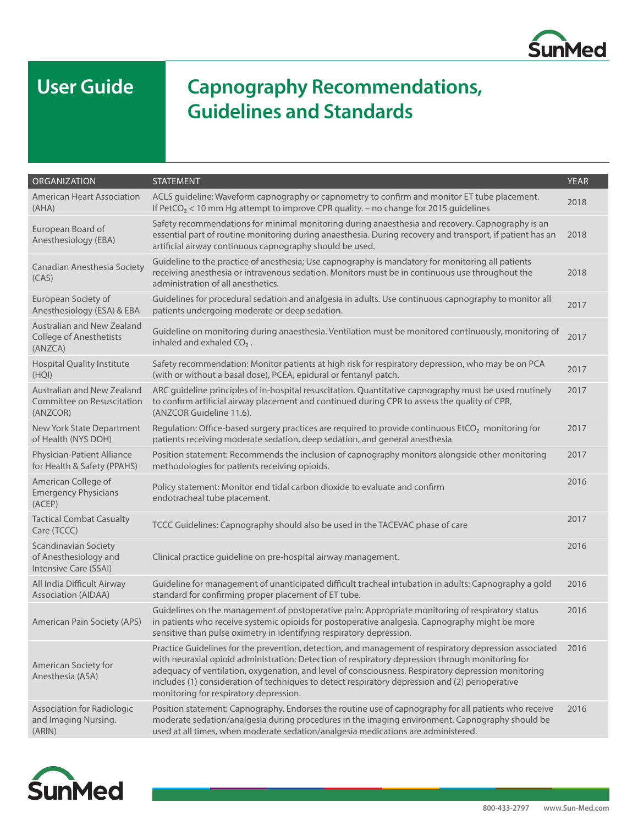

# **User Guide**

# **Capnography Recommendations, Guidelines and Standards**

| <b>ORGANIZATION</b>                                                            | <b>STATEMENT</b>                                                                                                                                                                                                                                                                                                                                                                                                                                               | <b>YEAR</b> |
|--------------------------------------------------------------------------------|----------------------------------------------------------------------------------------------------------------------------------------------------------------------------------------------------------------------------------------------------------------------------------------------------------------------------------------------------------------------------------------------------------------------------------------------------------------|-------------|
| <b>American Heart Association</b><br>(AHA)                                     | ACLS guideline: Waveform capnography or capnometry to confirm and monitor ET tube placement.<br>If $PetCO2 < 10$ mm Hg attempt to improve CPR quality. - no change for 2015 guidelines                                                                                                                                                                                                                                                                         | 2018        |
| European Board of<br>Anesthesiology (EBA)                                      | Safety recommendations for minimal monitoring during anaesthesia and recovery. Capnography is an<br>essential part of routine monitoring during anaesthesia. During recovery and transport, if patient has an<br>artificial airway continuous capnography should be used.                                                                                                                                                                                      | 2018        |
| Canadian Anesthesia Society<br>(CAS)                                           | Guideline to the practice of anesthesia; Use capnography is mandatory for monitoring all patients<br>receiving anesthesia or intravenous sedation. Monitors must be in continuous use throughout the<br>administration of all anesthetics.                                                                                                                                                                                                                     | 2018        |
| European Society of<br>Anesthesiology (ESA) & EBA                              | Guidelines for procedural sedation and analgesia in adults. Use continuous capnography to monitor all<br>patients undergoing moderate or deep sedation.                                                                                                                                                                                                                                                                                                        | 2017        |
| <b>Australian and New Zealand</b><br><b>College of Anesthetists</b><br>(ANZCA) | Guideline on monitoring during anaesthesia. Ventilation must be monitored continuously, monitoring of<br>inhaled and exhaled CO <sub>2</sub> .                                                                                                                                                                                                                                                                                                                 | 2017        |
| <b>Hospital Quality Institute</b><br>(HQI)                                     | Safety recommendation: Monitor patients at high risk for respiratory depression, who may be on PCA<br>(with or without a basal dose), PCEA, epidural or fentanyl patch.                                                                                                                                                                                                                                                                                        | 2017        |
| Australian and New Zealand<br>Committee on Resuscitation<br>(ANZCOR)           | ARC guideline principles of in-hospital resuscitation. Quantitative capnography must be used routinely<br>to confirm artificial airway placement and continued during CPR to assess the quality of CPR,<br>(ANZCOR Guideline 11.6).                                                                                                                                                                                                                            | 2017        |
| New York State Department<br>of Health (NYS DOH)                               | Regulation: Office-based surgery practices are required to provide continuous EtCO <sub>2</sub> monitoring for<br>patients receiving moderate sedation, deep sedation, and general anesthesia                                                                                                                                                                                                                                                                  | 2017        |
| Physician-Patient Alliance<br>for Health & Safety (PPAHS)                      | Position statement: Recommends the inclusion of capnography monitors alongside other monitoring<br>methodologies for patients receiving opioids.                                                                                                                                                                                                                                                                                                               | 2017        |
| American College of<br><b>Emergency Physicians</b><br>(ACEP)                   | Policy statement: Monitor end tidal carbon dioxide to evaluate and confirm<br>endotracheal tube placement.                                                                                                                                                                                                                                                                                                                                                     | 2016        |
| <b>Tactical Combat Casualty</b><br>Care (TCCC)                                 | TCCC Guidelines: Capnography should also be used in the TACEVAC phase of care                                                                                                                                                                                                                                                                                                                                                                                  | 2017        |
| <b>Scandinavian Society</b><br>of Anesthesiology and<br>Intensive Care (SSAI)  | Clinical practice guideline on pre-hospital airway management.                                                                                                                                                                                                                                                                                                                                                                                                 | 2016        |
| All India Difficult Airway<br><b>Association (AIDAA)</b>                       | Guideline for management of unanticipated difficult tracheal intubation in adults: Capnography a gold<br>standard for confirming proper placement of ET tube.                                                                                                                                                                                                                                                                                                  | 2016        |
| American Pain Society (APS)                                                    | Guidelines on the management of postoperative pain: Appropriate monitoring of respiratory status<br>in patients who receive systemic opioids for postoperative analgesia. Capnography might be more<br>sensitive than pulse oximetry in identifying respiratory depression.                                                                                                                                                                                    | 2016        |
| American Society for<br>Anesthesia (ASA)                                       | Practice Guidelines for the prevention, detection, and management of respiratory depression associated<br>with neuraxial opioid administration: Detection of respiratory depression through monitoring for<br>adequacy of ventilation, oxygenation, and level of consciousness. Respiratory depression monitoring<br>includes (1) consideration of techniques to detect respiratory depression and (2) perioperative<br>monitoring for respiratory depression. | 2016        |
| Association for Radiologic<br>and Imaging Nursing.<br>(ARIN)                   | Position statement: Capnography. Endorses the routine use of capnography for all patients who receive<br>moderate sedation/analgesia during procedures in the imaging environment. Capnography should be<br>used at all times, when moderate sedation/analgesia medications are administered.                                                                                                                                                                  | 2016        |
|                                                                                |                                                                                                                                                                                                                                                                                                                                                                                                                                                                |             |

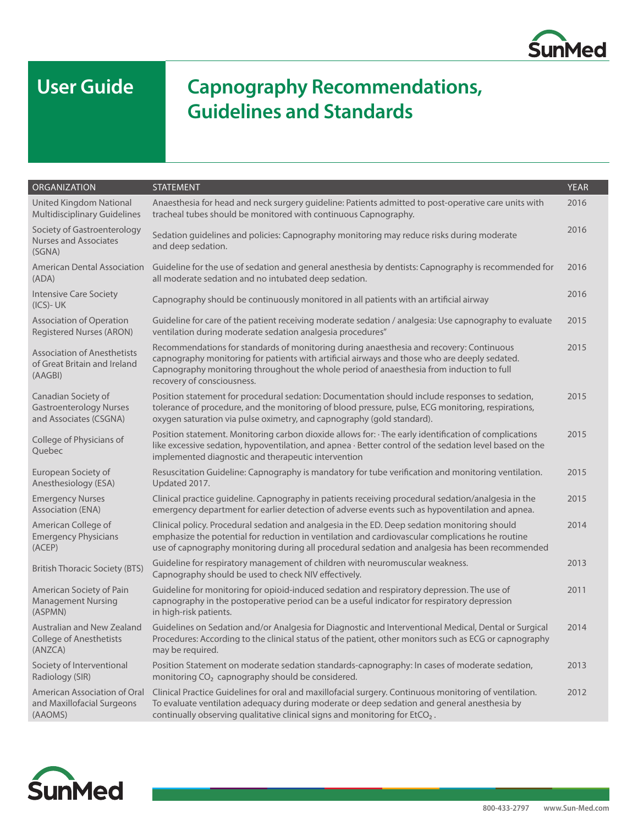

# **User Guide**

# **Capnography Recommendations, Guidelines and Standards**

| <b>ORGANIZATION</b>                                                             | <b>STATEMENT</b>                                                                                                                                                                                                                                                                                                   | <b>YEAR</b> |
|---------------------------------------------------------------------------------|--------------------------------------------------------------------------------------------------------------------------------------------------------------------------------------------------------------------------------------------------------------------------------------------------------------------|-------------|
|                                                                                 |                                                                                                                                                                                                                                                                                                                    |             |
| <b>United Kingdom National</b><br><b>Multidisciplinary Guidelines</b>           | Anaesthesia for head and neck surgery guideline: Patients admitted to post-operative care units with<br>tracheal tubes should be monitored with continuous Capnography.                                                                                                                                            | 2016        |
| Society of Gastroenterology<br>Nurses and Associates<br>(SGNA)                  | Sedation guidelines and policies: Capnography monitoring may reduce risks during moderate<br>and deep sedation.                                                                                                                                                                                                    | 2016        |
| <b>American Dental Association</b><br>(ADA)                                     | Guideline for the use of sedation and general anesthesia by dentists: Capnography is recommended for<br>all moderate sedation and no intubated deep sedation.                                                                                                                                                      | 2016        |
| <b>Intensive Care Society</b><br>$(ICS)-UK$                                     | Capnography should be continuously monitored in all patients with an artificial airway                                                                                                                                                                                                                             | 2016        |
| <b>Association of Operation</b><br><b>Registered Nurses (ARON)</b>              | Guideline for care of the patient receiving moderate sedation / analgesia: Use capnography to evaluate<br>ventilation during moderate sedation analgesia procedures"                                                                                                                                               | 2015        |
| <b>Association of Anesthetists</b><br>of Great Britain and Ireland<br>(AAGBI)   | Recommendations for standards of monitoring during anaesthesia and recovery: Continuous<br>capnography monitoring for patients with artificial airways and those who are deeply sedated.<br>Capnography monitoring throughout the whole period of anaesthesia from induction to full<br>recovery of consciousness. | 2015        |
| Canadian Society of<br><b>Gastroenterology Nurses</b><br>and Associates (CSGNA) | Position statement for procedural sedation: Documentation should include responses to sedation,<br>tolerance of procedure, and the monitoring of blood pressure, pulse, ECG monitoring, respirations,<br>oxygen saturation via pulse oximetry, and capnography (gold standard).                                    | 2015        |
| College of Physicians of<br>Quebec                                              | Position statement. Monitoring carbon dioxide allows for: · The early identification of complications<br>like excessive sedation, hypoventilation, and apnea · Better control of the sedation level based on the<br>implemented diagnostic and therapeutic intervention                                            | 2015        |
| European Society of<br>Anesthesiology (ESA)                                     | Resuscitation Guideline: Capnography is mandatory for tube verification and monitoring ventilation.<br>Updated 2017.                                                                                                                                                                                               | 2015        |
| <b>Emergency Nurses</b><br><b>Association (ENA)</b>                             | Clinical practice guideline. Capnography in patients receiving procedural sedation/analgesia in the<br>emergency department for earlier detection of adverse events such as hypoventilation and apnea.                                                                                                             | 2015        |
| American College of<br><b>Emergency Physicians</b><br>(ACEP)                    | Clinical policy. Procedural sedation and analgesia in the ED. Deep sedation monitoring should<br>emphasize the potential for reduction in ventilation and cardiovascular complications he routine<br>use of capnography monitoring during all procedural sedation and analgesia has been recommended               | 2014        |
| <b>British Thoracic Society (BTS)</b>                                           | Guideline for respiratory management of children with neuromuscular weakness.<br>Capnography should be used to check NIV effectively.                                                                                                                                                                              | 2013        |
| American Society of Pain<br><b>Management Nursing</b><br>(ASPMN)                | Guideline for monitoring for opioid-induced sedation and respiratory depression. The use of<br>capnography in the postoperative period can be a useful indicator for respiratory depression<br>in high-risk patients.                                                                                              | 2011        |
| Australian and New Zealand<br><b>College of Anesthetists</b><br>(ANZCA)         | Guidelines on Sedation and/or Analgesia for Diagnostic and Interventional Medical, Dental or Surgical<br>Procedures: According to the clinical status of the patient, other monitors such as ECG or capnography<br>may be required.                                                                                | 2014        |
| Society of Interventional<br>Radiology (SIR)                                    | Position Statement on moderate sedation standards-capnography: In cases of moderate sedation,<br>monitoring CO <sub>2</sub> capnography should be considered.                                                                                                                                                      | 2013        |
| American Association of Oral<br>and Maxillofacial Surgeons<br>(AAOMS)           | Clinical Practice Guidelines for oral and maxillofacial surgery. Continuous monitoring of ventilation.<br>To evaluate ventilation adequacy during moderate or deep sedation and general anesthesia by<br>continually observing qualitative clinical signs and monitoring for EtCO <sub>2</sub> .                   | 2012        |
|                                                                                 |                                                                                                                                                                                                                                                                                                                    |             |